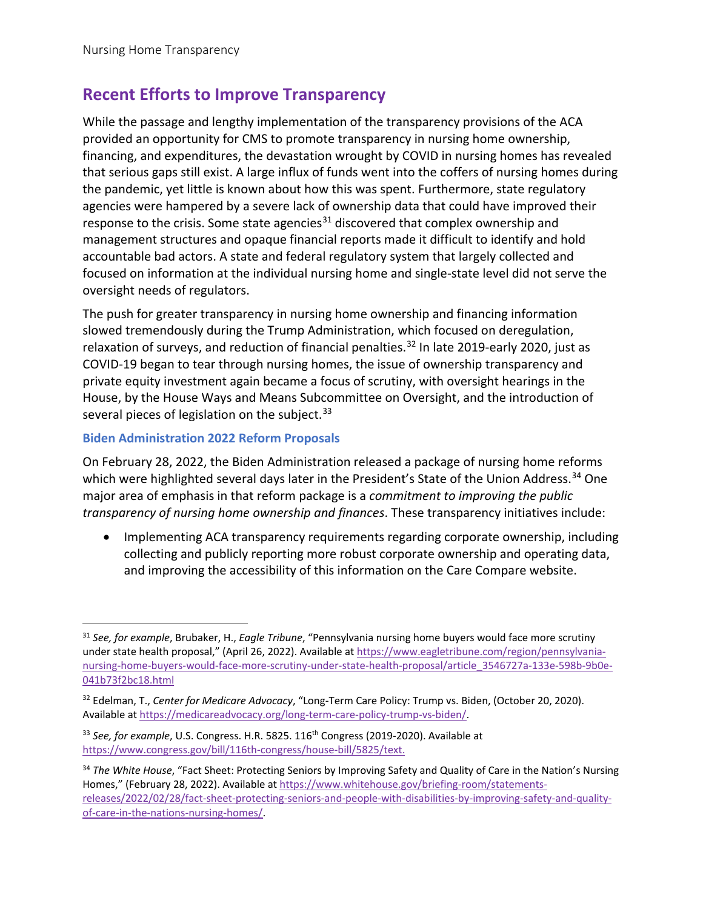# **Recent Efforts to Improve Transparency**

While the passage and lengthy implementation of the transparency provisions of the ACA provided an opportunity for CMS to promote transparency in nursing home ownership, financing, and expenditures, the devastation wrought by COVID in nursing homes has revealed that serious gaps still exist. A large influx of funds went into the coffers of nursing homes during the pandemic, yet little is known about how this was spent. Furthermore, state regulatory agencies were hampered by a severe lack of ownership data that could have improved their response to the crisis. Some state agencies<sup>[31](#page-0-0)</sup> discovered that complex ownership and management structures and opaque financial reports made it difficult to identify and hold accountable bad actors. A state and federal regulatory system that largely collected and focused on information at the individual nursing home and single-state level did not serve the oversight needs of regulators.

The push for greater transparency in nursing home ownership and financing information slowed tremendously during the Trump Administration, which focused on deregulation, relaxation of surveys, and reduction of financial penalties. [32](#page-0-1) In late 2019-early 2020, just as COVID-19 began to tear through nursing homes, the issue of ownership transparency and private equity investment again became a focus of scrutiny, with oversight hearings in the House, by the House Ways and Means Subcommittee on Oversight, and the introduction of several pieces of legislation on the subject.<sup>[33](#page-0-2)</sup>

#### **Biden Administration 2022 Reform Proposals**

On February 28, 2022, the Biden Administration released a package of nursing home reforms which were highlighted several days later in the President's State of the Union Address.<sup>[34](#page-0-3)</sup> One major area of emphasis in that reform package is a *commitment to improving the public transparency of nursing home ownership and finances*. These transparency initiatives include:

• Implementing ACA transparency requirements regarding corporate ownership, including collecting and publicly reporting more robust corporate ownership and operating data, and improving the accessibility of this information on the Care Compare website.

<span id="page-0-0"></span><sup>31</sup> *See, for example*, Brubaker, H., *Eagle Tribune*, "Pennsylvania nursing home buyers would face more scrutiny under state health proposal," (April 26, 2022). Available at [https://www.eagletribune.com/region/pennsylvania](https://www.eagletribune.com/region/pennsylvania-nursing-home-buyers-would-face-more-scrutiny-under-state-health-proposal/article_3546727a-133e-598b-9b0e-041b73f2bc18.html)[nursing-home-buyers-would-face-more-scrutiny-under-state-health-proposal/article\\_3546727a-133e-598b-9b0e-](https://www.eagletribune.com/region/pennsylvania-nursing-home-buyers-would-face-more-scrutiny-under-state-health-proposal/article_3546727a-133e-598b-9b0e-041b73f2bc18.html)[041b73f2bc18.html](https://www.eagletribune.com/region/pennsylvania-nursing-home-buyers-would-face-more-scrutiny-under-state-health-proposal/article_3546727a-133e-598b-9b0e-041b73f2bc18.html)

<span id="page-0-1"></span><sup>32</sup> Edelman, T., *Center for Medicare Advocacy*, "Long-Term Care Policy: Trump vs. Biden, (October 20, 2020). Available a[t https://medicareadvocacy.org/long-term-care-policy-trump-vs-biden/.](https://medicareadvocacy.org/long-term-care-policy-trump-vs-biden/) 

<span id="page-0-2"></span><sup>&</sup>lt;sup>33</sup> See, for example, U.S. Congress. H.R. 5825. 116<sup>th</sup> Congress (2019-2020). Available at [https://www.congress.gov/bill/116th-congress/house-bill/5825/text.](https://www.congress.gov/bill/116th-congress/house-bill/5825/text)

<span id="page-0-3"></span><sup>&</sup>lt;sup>34</sup> The White House, "Fact Sheet: Protecting Seniors by Improving Safety and Quality of Care in the Nation's Nursing Homes," (February 28, 2022). Available a[t https://www.whitehouse.gov/briefing-room/statements](https://www.whitehouse.gov/briefing-room/statements-releases/2022/02/28/fact-sheet-protecting-seniors-and-people-with-disabilities-by-improving-safety-and-quality-of-care-in-the-nations-nursing-homes/)[releases/2022/02/28/fact-sheet-protecting-seniors-and-people-with-disabilities-by-improving-safety-and-quality](https://www.whitehouse.gov/briefing-room/statements-releases/2022/02/28/fact-sheet-protecting-seniors-and-people-with-disabilities-by-improving-safety-and-quality-of-care-in-the-nations-nursing-homes/)[of-care-in-the-nations-nursing-homes/.](https://www.whitehouse.gov/briefing-room/statements-releases/2022/02/28/fact-sheet-protecting-seniors-and-people-with-disabilities-by-improving-safety-and-quality-of-care-in-the-nations-nursing-homes/)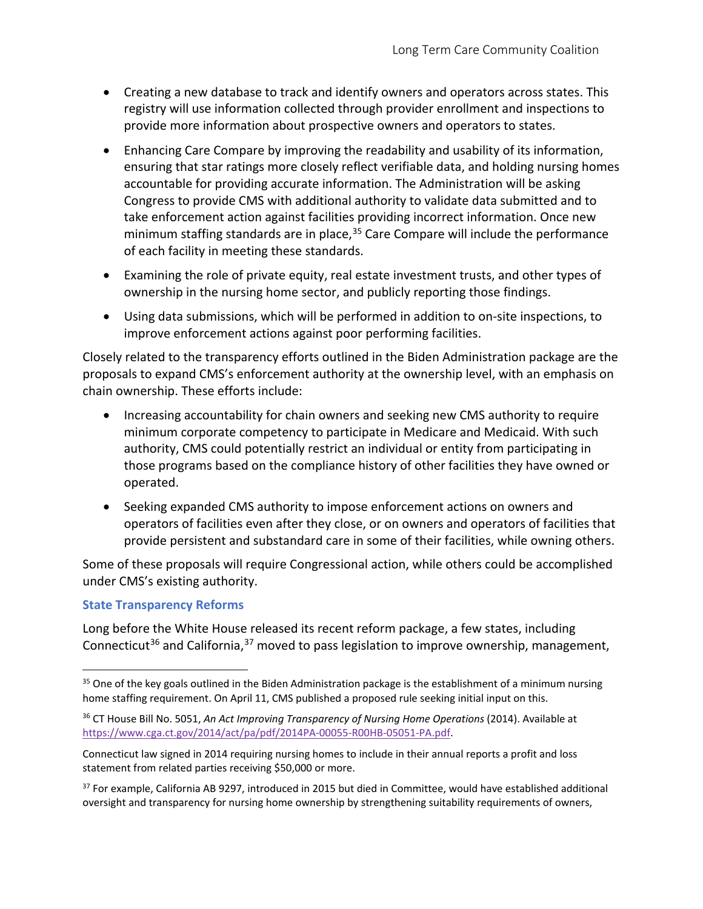- Creating a new database to track and identify owners and operators across states. This registry will use information collected through provider enrollment and inspections to provide more information about prospective owners and operators to states.
- Enhancing Care Compare by improving the readability and usability of its information, ensuring that star ratings more closely reflect verifiable data, and holding nursing homes accountable for providing accurate information. The Administration will be asking Congress to provide CMS with additional authority to validate data submitted and to take enforcement action against facilities providing incorrect information. Once new minimum staffing standards are in place, [35](#page-1-0) Care Compare will include the performance of each facility in meeting these standards.
- Examining the role of private equity, real estate investment trusts, and other types of ownership in the nursing home sector, and publicly reporting those findings.
- Using data submissions, which will be performed in addition to on-site inspections, to improve enforcement actions against poor performing facilities.

Closely related to the transparency efforts outlined in the Biden Administration package are the proposals to expand CMS's enforcement authority at the ownership level, with an emphasis on chain ownership. These efforts include:

- Increasing accountability for chain owners and seeking new CMS authority to require minimum corporate competency to participate in Medicare and Medicaid. With such authority, CMS could potentially restrict an individual or entity from participating in those programs based on the compliance history of other facilities they have owned or operated.
- Seeking expanded CMS authority to impose enforcement actions on owners and operators of facilities even after they close, or on owners and operators of facilities that provide persistent and substandard care in some of their facilities, while owning others.

Some of these proposals will require Congressional action, while others could be accomplished under CMS's existing authority.

## **State Transparency Reforms**

Long before the White House released its recent reform package, a few states, including Connecticut<sup>[36](#page-1-1)</sup> and California,<sup>[37](#page-1-2)</sup> moved to pass legislation to improve ownership, management,

<span id="page-1-0"></span> $35$  One of the key goals outlined in the Biden Administration package is the establishment of a minimum nursing home staffing requirement. On April 11, CMS published a proposed rule seeking initial input on this.

<span id="page-1-1"></span><sup>36</sup> CT House Bill No. 5051, *An Act Improving Transparency of Nursing Home Operations* (2014). Available at [https://www.cga.ct.gov/2014/act/pa/pdf/2014PA-00055-R00HB-05051-PA.pdf.](https://www.cga.ct.gov/2014/act/pa/pdf/2014PA-00055-R00HB-05051-PA.pdf)

Connecticut law signed in 2014 requiring nursing homes to include in their annual reports a profit and loss statement from related parties receiving \$50,000 or more.

<span id="page-1-2"></span><sup>&</sup>lt;sup>37</sup> For example, California AB 9297, introduced in 2015 but died in Committee, would have established additional oversight and transparency for nursing home ownership by strengthening suitability requirements of owners,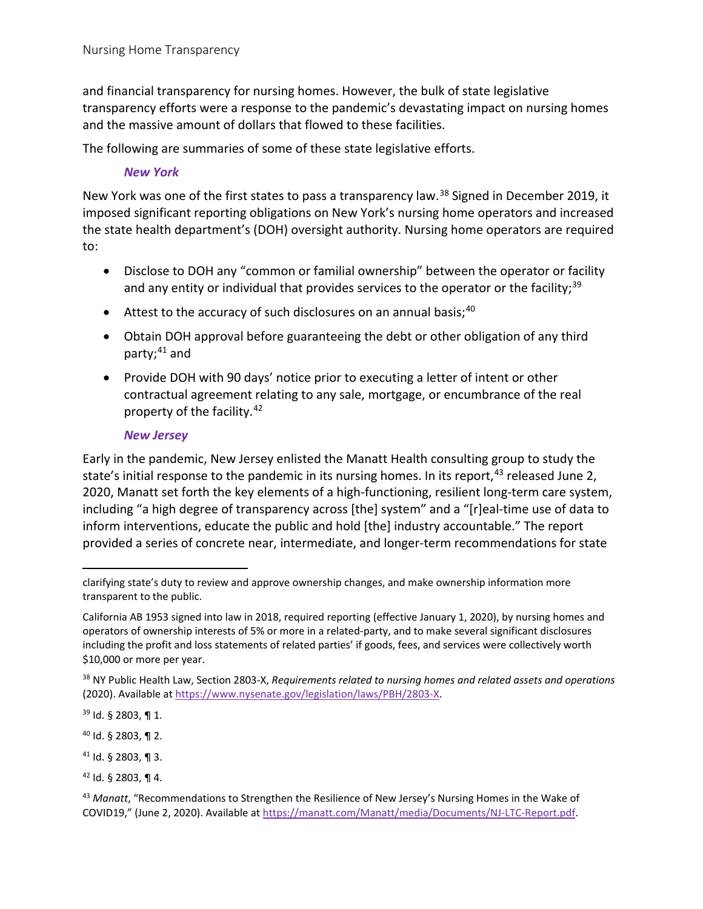and financial transparency for nursing homes. However, the bulk of state legislative transparency efforts were a response to the pandemic's devastating impact on nursing homes and the massive amount of dollars that flowed to these facilities.

The following are summaries of some of these state legislative efforts.

#### *New York*

New York was one of the first states to pass a transparency law.<sup>[38](#page-2-0)</sup> Signed in December 2019, it imposed significant reporting obligations on New York's nursing home operators and increased the state health department's (DOH) oversight authority. Nursing home operators are required to:

- Disclose to DOH any "common or familial ownership" between the operator or facility and any entity or individual that provides services to the operator or the facility;<sup>[39](#page-2-1)</sup>
- Attest to the accuracy of such disclosures on an annual basis;<sup>[40](#page-2-2)</sup>
- Obtain DOH approval before guaranteeing the debt or other obligation of any third party; $41$  and
- Provide DOH with 90 days' notice prior to executing a letter of intent or other contractual agreement relating to any sale, mortgage, or encumbrance of the real property of the facility. [42](#page-2-4)

#### *New Jersey*

Early in the pandemic, New Jersey enlisted the Manatt Health consulting group to study the state's initial response to the pandemic in its nursing homes. In its report,<sup>[43](#page-2-5)</sup> released June 2, 2020, Manatt set forth the key elements of a high-functioning, resilient long-term care system, including "a high degree of transparency across [the] system" and a "[r]eal-time use of data to inform interventions, educate the public and hold [the] industry accountable." The report provided a series of concrete near, intermediate, and longer-term recommendations for state

<span id="page-2-2"></span> $40$  Id. § 2803, ¶ 2.

<span id="page-2-4"></span><sup>42</sup> Id. § 2803, ¶ 4.

clarifying state's duty to review and approve ownership changes, and make ownership information more transparent to the public.

California AB 1953 signed into law in 2018, required reporting (effective January 1, 2020), by nursing homes and operators of ownership interests of 5% or more in a related-party, and to make several significant disclosures including the profit and loss statements of related parties' if goods, fees, and services were collectively worth \$10,000 or more per year.

<span id="page-2-0"></span><sup>38</sup> NY Public Health Law, Section 2803-X, *Requirements related to nursing homes and related assets and operations* (2020). Available at [https://www.nysenate.gov/legislation/laws/PBH/2803-X.](https://www.nysenate.gov/legislation/laws/PBH/2803-X)

<span id="page-2-1"></span><sup>39</sup> Id. § 2803, ¶ 1.

<span id="page-2-3"></span><sup>41</sup> Id. § 2803, ¶ 3.

<span id="page-2-5"></span><sup>43</sup> *Manatt*, "Recommendations to Strengthen the Resilience of New Jersey's Nursing Homes in the Wake of COVID19," (June 2, 2020). Available at [https://manatt.com/Manatt/media/Documents/NJ-LTC-Report.pdf.](https://manatt.com/Manatt/media/Documents/NJ-LTC-Report.pdf)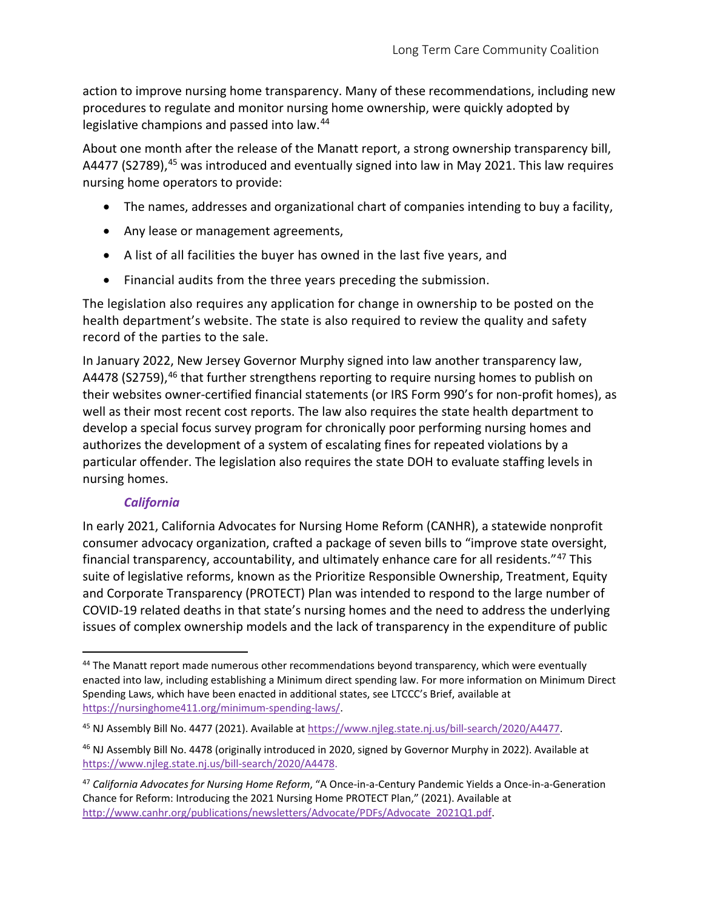action to improve nursing home transparency. Many of these recommendations, including new procedures to regulate and monitor nursing home ownership, were quickly adopted by legislative champions and passed into law. [44](#page-3-0)

About one month after the release of the Manatt report, a strong ownership transparency bill, A4477 (S2789),<sup>[45](#page-3-1)</sup> was introduced and eventually signed into law in May 2021. This law requires nursing home operators to provide:

- The names, addresses and organizational chart of companies intending to buy a facility,
- Any lease or management agreements,
- A list of all facilities the buyer has owned in the last five years, and
- Financial audits from the three years preceding the submission.

The legislation also requires any application for change in ownership to be posted on the health department's website. The state is also required to review the quality and safety record of the parties to the sale.

In January 2022, New Jersey Governor Murphy signed into law another transparency law, A4478 (S2759),<sup>[46](#page-3-2)</sup> that further strengthens reporting to require nursing homes to publish on their websites owner-certified financial statements (or IRS Form 990's for non-profit homes), as well as their most recent cost reports. The law also requires the state health department to develop a special focus survey program for chronically poor performing nursing homes and authorizes the development of a system of escalating fines for repeated violations by a particular offender. The legislation also requires the state DOH to evaluate staffing levels in nursing homes.

## *California*

In early 2021, California Advocates for Nursing Home Reform (CANHR), a statewide nonprofit consumer advocacy organization, crafted a package of seven bills to "improve state oversight, financial transparency, accountability, and ultimately enhance care for all residents."[47](#page-3-3) This suite of legislative reforms, known as the Prioritize Responsible Ownership, Treatment, Equity and Corporate Transparency (PROTECT) Plan was intended to respond to the large number of COVID-19 related deaths in that state's nursing homes and the need to address the underlying issues of complex ownership models and the lack of transparency in the expenditure of public

<span id="page-3-0"></span><sup>&</sup>lt;sup>44</sup> The Manatt report made numerous other recommendations beyond transparency, which were eventually enacted into law, including establishing a Minimum direct spending law. For more information on Minimum Direct Spending Laws, which have been enacted in additional states, see LTCCC's Brief, available at [https://nursinghome411.org/minimum-spending-laws/.](https://nursinghome411.org/minimum-spending-laws/) 

<span id="page-3-1"></span><sup>45</sup> NJ Assembly Bill No. 4477 (2021). Available at [https://www.njleg.state.nj.us/bill-search/2020/A4477.](https://www.njleg.state.nj.us/bill-search/2020/A4477)

<span id="page-3-2"></span><sup>&</sup>lt;sup>46</sup> NJ Assembly Bill No. 4478 (originally introduced in 2020, signed by Governor Murphy in 2022). Available at [https://www.njleg.state.nj.us/bill-search/2020/A4478.](https://www.njleg.state.nj.us/bill-search/2020/A4478)

<span id="page-3-3"></span><sup>47</sup> *California Advocates for Nursing Home Reform*, "A Once-in-a-Century Pandemic Yields a Once-in-a-Generation Chance for Reform: Introducing the 2021 Nursing Home PROTECT Plan," (2021). Available at [http://www.canhr.org/publications/newsletters/Advocate/PDFs/Advocate\\_2021Q1.pdf.](http://www.canhr.org/publications/newsletters/Advocate/PDFs/Advocate_2021Q1.pdf)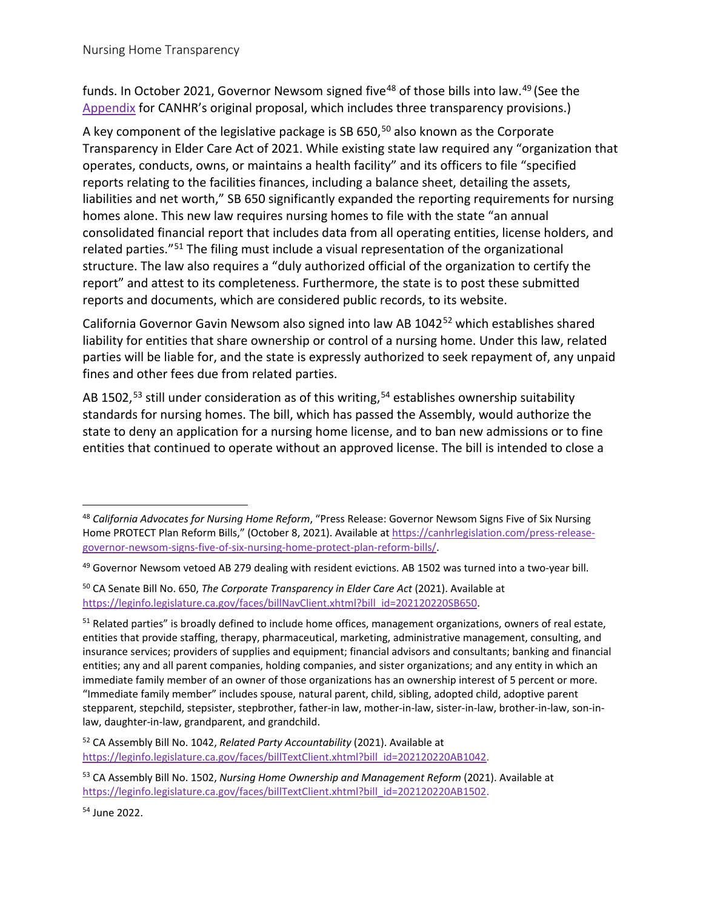funds. In October 2021, Governor Newsom signed five<sup>[48](#page-4-0)</sup> of those bills into law.<sup>[49](#page-4-1)</sup> (See the Appendix for CANHR's original proposal, which includes three transparency provisions.)

A key component of the legislative package is SB 6[50](#page-4-2),<sup>50</sup> also known as the Corporate Transparency in Elder Care Act of 2021. While existing state law required any "organization that operates, conducts, owns, or maintains a health facility" and its officers to file "specified reports relating to the facilities finances, including a balance sheet, detailing the assets, liabilities and net worth," SB 650 significantly expanded the reporting requirements for nursing homes alone. This new law requires nursing homes to file with the state "an annual consolidated financial report that includes data from all operating entities, license holders, and related parties."[51](#page-4-3) The filing must include a visual representation of the organizational structure. The law also requires a "duly authorized official of the organization to certify the report" and attest to its completeness. Furthermore, the state is to post these submitted reports and documents, which are considered public records, to its website.

California Governor Gavin Newsom also signed into law AB 1042[52](#page-4-4) which establishes shared liability for entities that share ownership or control of a nursing home. Under this law, related parties will be liable for, and the state is expressly authorized to seek repayment of, any unpaid fines and other fees due from related parties.

AB 1502,<sup>[53](#page-4-5)</sup> still under consideration as of this writing,<sup>[54](#page-4-6)</sup> establishes ownership suitability standards for nursing homes. The bill, which has passed the Assembly, would authorize the state to deny an application for a nursing home license, and to ban new admissions or to fine entities that continued to operate without an approved license. The bill is intended to close a

<span id="page-4-2"></span><sup>50</sup> CA Senate Bill No. 650, *The Corporate Transparency in Elder Care Act* (2021). Available at [https://leginfo.legislature.ca.gov/faces/billNavClient.xhtml?bill\\_id=202120220SB650.](https://leginfo.legislature.ca.gov/faces/billNavClient.xhtml?bill_id=202120220SB650)

<span id="page-4-4"></span><sup>52</sup> CA Assembly Bill No. 1042, *Related Party Accountability* (2021). Available at [https://leginfo.legislature.ca.gov/faces/billTextClient.xhtml?bill\\_id=202120220AB1042.](https://leginfo.legislature.ca.gov/faces/billTextClient.xhtml?bill_id=202120220AB1042)

<span id="page-4-6"></span><sup>54</sup> June 2022.

<span id="page-4-0"></span><sup>48</sup> *California Advocates for Nursing Home Reform*, "Press Release: Governor Newsom Signs Five of Six Nursing Home PROTECT Plan Reform Bills," (October 8, 2021). Available a[t https://canhrlegislation.com/press-release](https://canhrlegislation.com/press-release-governor-newsom-signs-five-of-six-nursing-home-protect-plan-reform-bills/)[governor-newsom-signs-five-of-six-nursing-home-protect-plan-reform-bills/.](https://canhrlegislation.com/press-release-governor-newsom-signs-five-of-six-nursing-home-protect-plan-reform-bills/)

<span id="page-4-1"></span><sup>&</sup>lt;sup>49</sup> Governor Newsom vetoed AB 279 dealing with resident evictions. AB 1502 was turned into a two-year bill.

<span id="page-4-3"></span><sup>&</sup>lt;sup>51</sup> Related parties" is broadly defined to include home offices, management organizations, owners of real estate, entities that provide staffing, therapy, pharmaceutical, marketing, administrative management, consulting, and insurance services; providers of supplies and equipment; financial advisors and consultants; banking and financial entities; any and all parent companies, holding companies, and sister organizations; and any entity in which an immediate family member of an owner of those organizations has an ownership interest of 5 percent or more. "Immediate family member" includes spouse, natural parent, child, sibling, adopted child, adoptive parent stepparent, stepchild, stepsister, stepbrother, father-in law, mother-in-law, sister-in-law, brother-in-law, son-inlaw, daughter-in-law, grandparent, and grandchild.

<span id="page-4-5"></span><sup>53</sup> CA Assembly Bill No. 1502, *Nursing Home Ownership and Management Reform* (2021). Available at [https://leginfo.legislature.ca.gov/faces/billTextClient.xhtml?bill\\_id=202120220AB1502.](https://leginfo.legislature.ca.gov/faces/billTextClient.xhtml?bill_id=202120220AB1502)